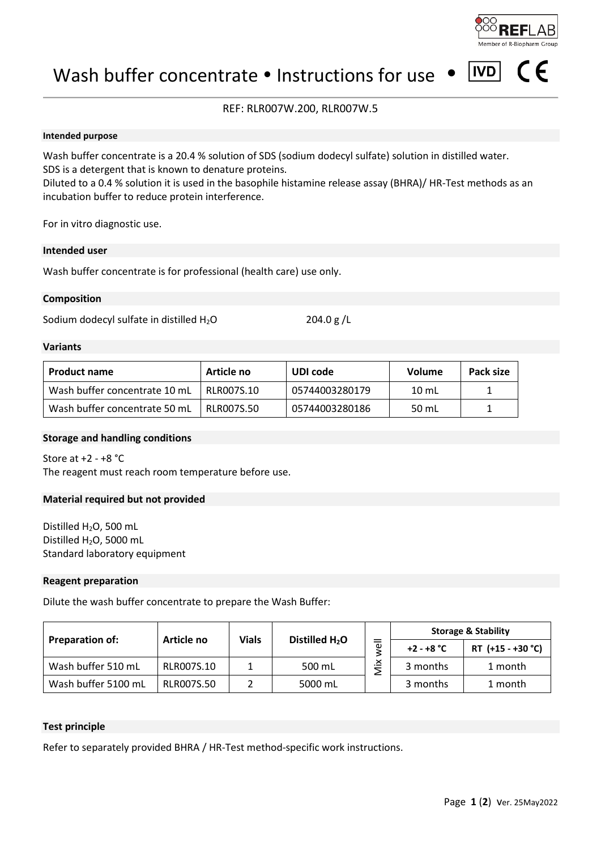

 $|IVD|$ 

 $\epsilon$ 

## Wash buffer concentrate  $\bullet$  Instructions for use  $\bullet$

## REF: RLR007W.200, RLR007W.5

#### **Intended purpose**

Wash buffer concentrate is a 20.4 % solution of SDS (sodium dodecyl sulfate) solution in distilled water. SDS is a detergent that is known to denature proteins. Diluted to a 0.4 % solution it is used in the basophile histamine release assay (BHRA)/ HR-Test methods as an incubation buffer to reduce protein interference.

For in vitro diagnostic use.

#### **Intended user**

Wash buffer concentrate is for professional (health care) use only.

#### **Composition**

Sodium dodecyl sulfate in distilled  $H_2O$  204.0 g/L

### **Variants**

| <b>Product name</b>           | Article no | UDI code       | <b>Volume</b> | Pack size |
|-------------------------------|------------|----------------|---------------|-----------|
| Wash buffer concentrate 10 mL | RLR007S.10 | 05744003280179 | 10 mL         |           |
| Wash buffer concentrate 50 mL | RLR007S.50 | 05744003280186 | 50 mL         |           |

#### **Storage and handling conditions**

Store at +2 - +8 °C The reagent must reach room temperature before use.

#### **Material required but not provided**

Distilled H<sub>2</sub>O, 500 mL Distilled H<sub>2</sub>O, 5000 mL Standard laboratory equipment

#### **Reagent preparation**

Dilute the wash buffer concentrate to prepare the Wash Buffer:

|                        | Article no | <b>Vials</b> | Distilled $H_2O$ | ω        | <b>Storage &amp; Stability</b> |                   |
|------------------------|------------|--------------|------------------|----------|--------------------------------|-------------------|
| <b>Preparation of:</b> |            |              |                  |          | $+2 - +8 °C$                   | RT (+15 - +30 °C) |
| Wash buffer 510 mL     | RLR007S.10 |              | 500 mL           | ×<br>$-$ | 3 months                       | 1 month           |
| Wash buffer 5100 mL    | RLR007S.50 |              | 5000 mL          |          | 3 months                       | 1 month           |

#### **Test principle**

Refer to separately provided BHRA / HR-Test method-specific work instructions.